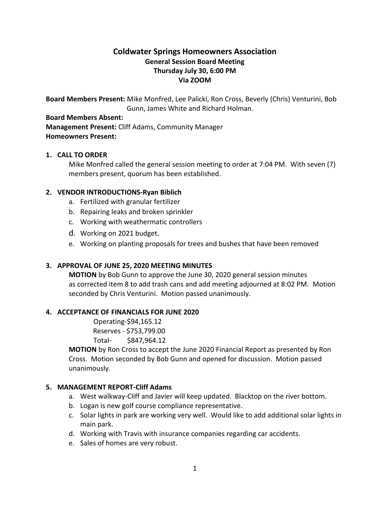# **Coldwater Springs Homeowners Association General Session Board Meeting Thursday July 30, 6:00 PM Via ZOOM**

**Board Members Present:** Mike Monfred, Lee Palicki, Ron Cross, Beverly (Chris) Venturini, Bob Gunn, James White and Richard Holman.

#### **Board Members Absent:**

**Management Present:** Cliff Adams, Community Manager **Homeowners Present:**

# **1. CALL TO ORDER**

Mike Monfred called the general session meeting to order at 7:04 PM. With seven (7) members present, quorum has been established.

# **2. VENDOR INTRODUCTIONS-Ryan Biblich**

- a. Fertilized with granular fertilizer
- b. Repairing leaks and broken sprinkler
- c. Working with weathermatic controllers
- d. Working on 2021 budget.
- e. Working on planting proposals for trees and bushes that have been removed

# **3. APPROVAL OF JUNE 25, 2020 MEETING MINUTES**

**MOTION** by Bob Gunn to approve the June 30, 2020 general session minutes as corrected item 8 to add trash cans and add meeting adjourned at 8:02 PM. Motion seconded by Chris Venturini. Motion passed unanimously.

#### **4. ACCEPTANCE OF FINANCIALS FOR JUNE 2020**

Operating-\$94,165.12 Reserves - \$753,799.00

Total- \$847,964.12

**MOTION** by Ron Cross to accept the June 2020 Financial Report as presented by Ron Cross. Motion seconded by Bob Gunn and opened for discussion. Motion passed unanimously.

#### **5. MANAGEMENT REPORT-Cliff Adams**

- a. West walkway-Cliff and Javier will keep updated. Blacktop on the river bottom.
- b. Logan is new golf course compliance representative.
- c. Solar lights in park are working very well. Would like to add additional solar lights in main park.
- d. Working with Travis with insurance companies regarding car accidents.
- e. Sales of homes are very robust.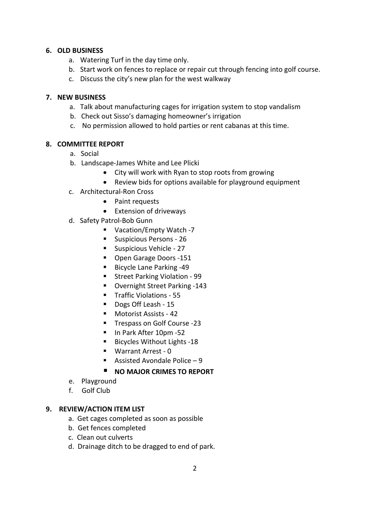# **6. OLD BUSINESS**

- a. Watering Turf in the day time only.
- b. Start work on fences to replace or repair cut through fencing into golf course.
- c. Discuss the city's new plan for the west walkway

#### **7. NEW BUSINESS**

- a. Talk about manufacturing cages for irrigation system to stop vandalism
- b. Check out Sisso's damaging homeowner's irrigation
- c. No permission allowed to hold parties or rent cabanas at this time.

#### **8. COMMITTEE REPORT**

- a. Social
- b. Landscape-James White and Lee Plicki
	- City will work with Ryan to stop roots from growing
	- Review bids for options available for playground equipment
- c. Architectural-Ron Cross
	- Paint requests
	- Extension of driveways
- d. Safety Patrol-Bob Gunn
	- Vacation/Empty Watch -7
	- **Suspicious Persons 26**
	- **Suspicious Vehicle 27**
	- **Den Garage Doors -151**
	- Bicycle Lane Parking -49
	- **Street Parking Violation 99**
	- Overnight Street Parking -143
	- **Traffic Violations 55**
	- Dogs Off Leash 15
	- Motorist Assists 42
	- **Trespass on Golf Course -23**
	- In Park After 10pm -52
	- Bicycles Without Lights -18
	- Warrant Arrest 0
	- Assisted Avondale Police  $-9$

#### **NO MAJOR CRIMES TO REPORT**

- e. Playground
- f. Golf Club

#### **9. REVIEW/ACTION ITEM LIST**

- a. Get cages completed as soon as possible
- b. Get fences completed
- c. Clean out culverts
- d. Drainage ditch to be dragged to end of park.